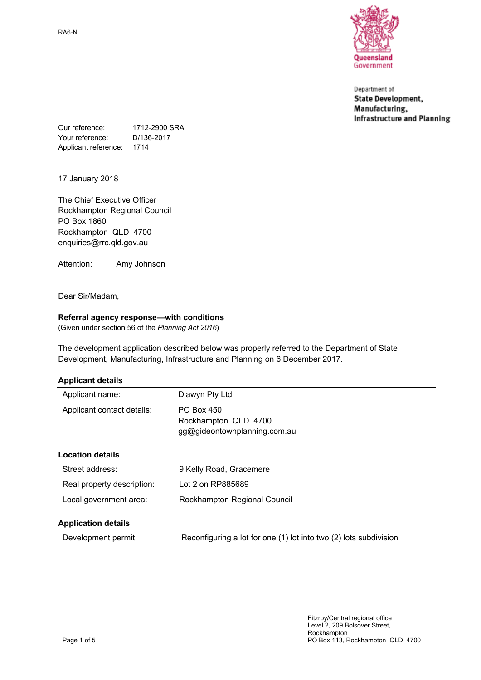Queensland Government

Department of **State Development,** Manufacturing, **Infrastructure and Planning** 

Our reference: 1712-2900 SRA Your reference: D/136-2017 Applicant reference: 1714

17 January 2018

The Chief Executive Officer Rockhampton Regional Council PO Box 1860 Rockhampton QLD 4700 enquiries@rrc.qld.gov.au

Attention: Amy Johnson

Dear Sir/Madam,

## **Referral agency response—with conditions**

(Given under section 56 of the *Planning Act 2016*)

The development application described below was properly referred to the Department of State Development, Manufacturing, Infrastructure and Planning on 6 December 2017.

| <b>Applicant details</b> |
|--------------------------|
|--------------------------|

| Applicant name:            | Diawyn Pty Ltd                                                     |
|----------------------------|--------------------------------------------------------------------|
| Applicant contact details: | PO Box 450<br>Rockhampton QLD 4700<br>gg@gideontownplanning.com.au |
| <b>Location details</b>    |                                                                    |
| Street address:            | 9 Kelly Road, Gracemere                                            |
| Real property description: | Lot 2 on RP885689                                                  |
| Local government area:     | Rockhampton Regional Council                                       |
| <b>Application details</b> |                                                                    |
| Development permit         | Reconfiguring a lot for one (1) lot into two (2) lots subdivision  |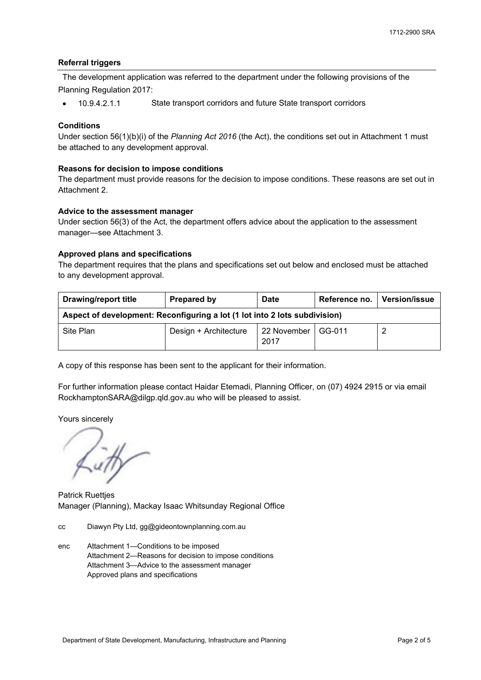## **Referral triggers**

The development application was referred to the department under the following provisions of the Planning Regulation 2017:

10.9.4.2.1.1 State transport corridors and future State transport corridors

## **Conditions**

Under section 56(1)(b)(i) of the *Planning Act 2016* (the Act), the conditions set out in Attachment 1 must be attached to any development approval.

## **Reasons for decision to impose conditions**

The department must provide reasons for the decision to impose conditions. These reasons are set out in Attachment 2.

## **Advice to the assessment manager**

Under section 56(3) of the Act, the department offers advice about the application to the assessment manager—see Attachment 3.

## **Approved plans and specifications**

The department requires that the plans and specifications set out below and enclosed must be attached to any development approval.

| <b>Drawing/report title</b>                                                | Prepared by           | <b>Date</b>         | Reference no. | Version/issue |
|----------------------------------------------------------------------------|-----------------------|---------------------|---------------|---------------|
| Aspect of development: Reconfiguring a lot (1 lot into 2 lots subdivision) |                       |                     |               |               |
| Site Plan                                                                  | Design + Architecture | 22 November<br>2017 | GG-011        |               |

A copy of this response has been sent to the applicant for their information.

For further information please contact Haidar Etemadi, Planning Officer, on (07) 4924 2915 or via email RockhamptonSARA@dilgp.qld.gov.au who will be pleased to assist.

Yours sincerely

Litt

Patrick Ruettjes Manager (Planning), Mackay Isaac Whitsunday Regional Office

- cc Diawyn Pty Ltd, gg@gideontownplanning.com.au
- enc Attachment 1—Conditions to be imposed Attachment 2—Reasons for decision to impose conditions Attachment 3—Advice to the assessment manager Approved plans and specifications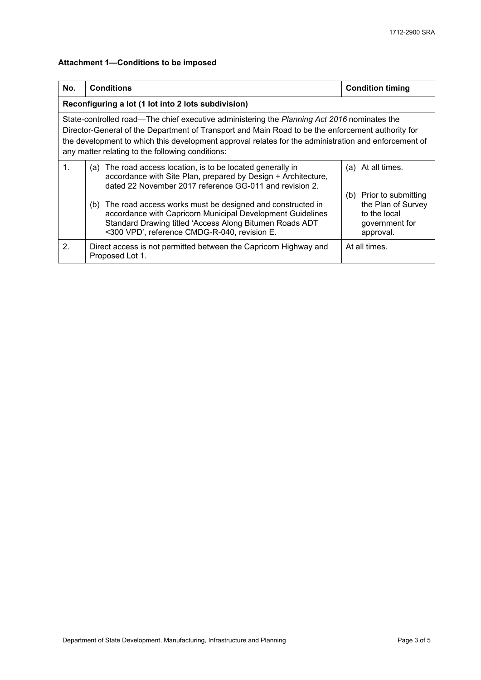# **Attachment 1—Conditions to be imposed**

| No.                                                                                                                                                                                                                                                                                                                                                          | <b>Conditions</b>                                                                                                                                                                                                                      | <b>Condition timing</b>                                                                         |  |  |
|--------------------------------------------------------------------------------------------------------------------------------------------------------------------------------------------------------------------------------------------------------------------------------------------------------------------------------------------------------------|----------------------------------------------------------------------------------------------------------------------------------------------------------------------------------------------------------------------------------------|-------------------------------------------------------------------------------------------------|--|--|
|                                                                                                                                                                                                                                                                                                                                                              | Reconfiguring a lot (1 lot into 2 lots subdivision)                                                                                                                                                                                    |                                                                                                 |  |  |
| State-controlled road—The chief executive administering the Planning Act 2016 nominates the<br>Director-General of the Department of Transport and Main Road to be the enforcement authority for<br>the development to which this development approval relates for the administration and enforcement of<br>any matter relating to the following conditions: |                                                                                                                                                                                                                                        |                                                                                                 |  |  |
| $\mathbf{1}$ .                                                                                                                                                                                                                                                                                                                                               | (a) The road access location, is to be located generally in<br>accordance with Site Plan, prepared by Design + Architecture,<br>dated 22 November 2017 reference GG-011 and revision 2.                                                | (a) At all times.                                                                               |  |  |
|                                                                                                                                                                                                                                                                                                                                                              | (b) The road access works must be designed and constructed in<br>accordance with Capricorn Municipal Development Guidelines<br>Standard Drawing titled 'Access Along Bitumen Roads ADT<br><300 VPD', reference CMDG-R-040, revision E. | Prior to submitting<br>(b)<br>the Plan of Survey<br>to the local<br>government for<br>approval. |  |  |
| 2.                                                                                                                                                                                                                                                                                                                                                           | Direct access is not permitted between the Capricorn Highway and<br>Proposed Lot 1.                                                                                                                                                    | At all times.                                                                                   |  |  |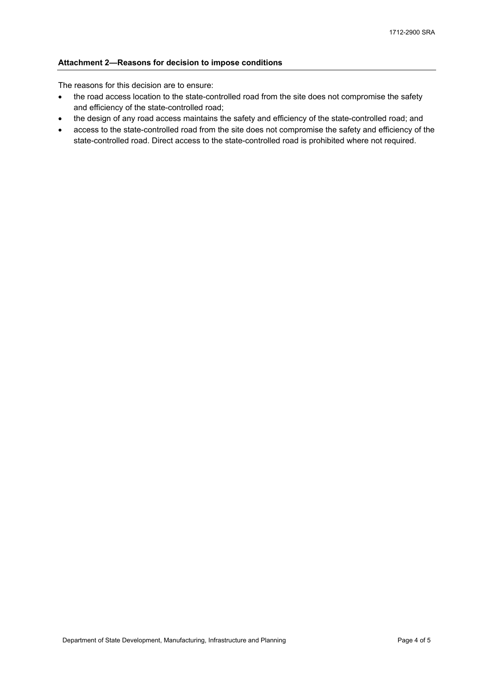## **Attachment 2—Reasons for decision to impose conditions**

The reasons for this decision are to ensure:

- the road access location to the state-controlled road from the site does not compromise the safety and efficiency of the state-controlled road;
- the design of any road access maintains the safety and efficiency of the state-controlled road; and
- access to the state-controlled road from the site does not compromise the safety and efficiency of the state-controlled road. Direct access to the state-controlled road is prohibited where not required.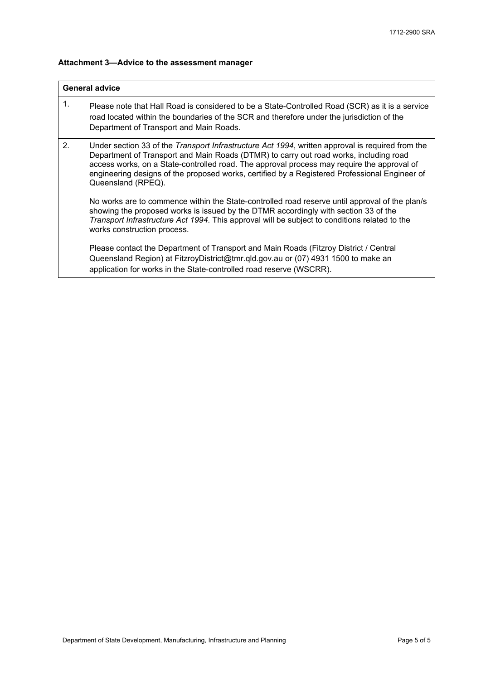# **Attachment 3—Advice to the assessment manager**

| <b>General advice</b> |                                                                                                                                                                                                                                                                                                                                                                                                                        |  |  |  |
|-----------------------|------------------------------------------------------------------------------------------------------------------------------------------------------------------------------------------------------------------------------------------------------------------------------------------------------------------------------------------------------------------------------------------------------------------------|--|--|--|
| $\mathbf{1}$ .        | Please note that Hall Road is considered to be a State-Controlled Road (SCR) as it is a service<br>road located within the boundaries of the SCR and therefore under the jurisdiction of the<br>Department of Transport and Main Roads.                                                                                                                                                                                |  |  |  |
| 2.                    | Under section 33 of the <i>Transport Infrastructure Act 1994</i> , written approval is required from the<br>Department of Transport and Main Roads (DTMR) to carry out road works, including road<br>access works, on a State-controlled road. The approval process may require the approval of<br>engineering designs of the proposed works, certified by a Registered Professional Engineer of<br>Queensland (RPEQ). |  |  |  |
|                       | No works are to commence within the State-controlled road reserve until approval of the plan/s<br>showing the proposed works is issued by the DTMR accordingly with section 33 of the<br>Transport Infrastructure Act 1994. This approval will be subject to conditions related to the<br>works construction process.                                                                                                  |  |  |  |
|                       | Please contact the Department of Transport and Main Roads (Fitzroy District / Central<br>Queensland Region) at FitzroyDistrict@tmr.gld.gov.au or (07) 4931 1500 to make an<br>application for works in the State-controlled road reserve (WSCRR).                                                                                                                                                                      |  |  |  |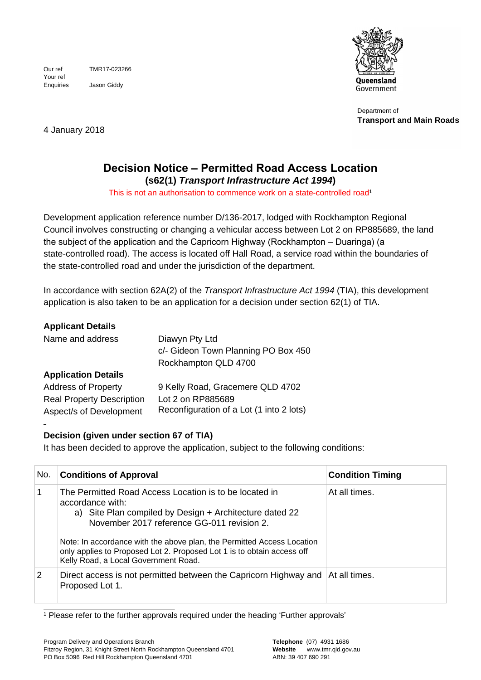Jason Giddy Your ref Our ref TMR17-023266 Enquiries



Department of **Transport and Main Roads**

4 January 2018

# **Decision Notice – Permitted Road Access Location**

**(s62(1)** *Transport Infrastructure Act 1994***)** This is not an authorisation to commence work on a state-controlled road<sup>1</sup> 1

Development application reference number D/136-2017, lodged with Rockhampton Regional Council involves constructing or changing a vehicular access between Lot 2 on RP885689, the land the subject of the application and the Capricorn Highway (Rockhampton – Duaringa) (a state-controlled road). The access is located off Hall Road, a service road within the boundaries of the state-controlled road and under the jurisdiction of the department.

In accordance with section 62A(2) of the *Transport Infrastructure Act 1994* (TIA), this development application is also taken to be an application for a decision under section 62(1) of TIA.

# **Applicant Details**

| Name and address                 | Diawyn Pty Ltd                           |
|----------------------------------|------------------------------------------|
|                                  | c/- Gideon Town Planning PO Box 450      |
|                                  | Rockhampton QLD 4700                     |
| <b>Application Details</b>       |                                          |
| <b>Address of Property</b>       | 9 Kelly Road, Gracemere QLD 4702         |
| <b>Real Property Description</b> | Lot 2 on RP885689                        |
| Aspect/s of Development          | Reconfiguration of a Lot (1 into 2 lots) |

# **Decision (given under section 67 of TIA)**

It has been decided to approve the application, subject to the following conditions:

| No.      | <b>Conditions of Approval</b>                                                                                                                                                                                                                                                                                                                                                   | <b>Condition Timing</b> |
|----------|---------------------------------------------------------------------------------------------------------------------------------------------------------------------------------------------------------------------------------------------------------------------------------------------------------------------------------------------------------------------------------|-------------------------|
|          | The Permitted Road Access Location is to be located in<br>accordance with:<br>a) Site Plan compiled by Design + Architecture dated 22<br>November 2017 reference GG-011 revision 2.<br>Note: In accordance with the above plan, the Permitted Access Location<br>only applies to Proposed Lot 2. Proposed Lot 1 is to obtain access off<br>Kelly Road, a Local Government Road. | At all times.           |
| <u>2</u> | Direct access is not permitted between the Capricorn Highway and At all times.<br>Proposed Lot 1.                                                                                                                                                                                                                                                                               |                         |

<sup>1</sup> Please refer to the further approvals required under the heading 'Further approvals'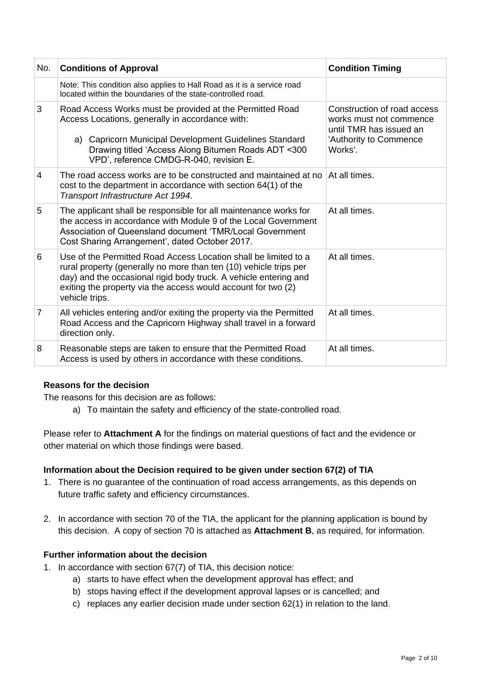| No.            | <b>Conditions of Approval</b>                                                                                                                                                                                                                                                               | <b>Condition Timing</b>                                                                                                |
|----------------|---------------------------------------------------------------------------------------------------------------------------------------------------------------------------------------------------------------------------------------------------------------------------------------------|------------------------------------------------------------------------------------------------------------------------|
|                | Note: This condition also applies to Hall Road as it is a service road<br>located within the boundaries of the state-controlled road.                                                                                                                                                       |                                                                                                                        |
| 3              | Road Access Works must be provided at the Permitted Road<br>Access Locations, generally in accordance with:<br>a) Capricorn Municipal Development Guidelines Standard<br>Drawing titled 'Access Along Bitumen Roads ADT <300<br>VPD', reference CMDG-R-040, revision E.                     | Construction of road access<br>works must not commence<br>until TMR has issued an<br>'Authority to Commence<br>Works'. |
| $\overline{4}$ | The road access works are to be constructed and maintained at no<br>cost to the department in accordance with section 64(1) of the<br>Transport Infrastructure Act 1994.                                                                                                                    | At all times.                                                                                                          |
| 5              | The applicant shall be responsible for all maintenance works for<br>the access in accordance with Module 9 of the Local Government<br>Association of Queensland document 'TMR/Local Government<br>Cost Sharing Arrangement', dated October 2017.                                            | At all times.                                                                                                          |
| 6              | Use of the Permitted Road Access Location shall be limited to a<br>rural property (generally no more than ten (10) vehicle trips per<br>day) and the occasional rigid body truck. A vehicle entering and<br>exiting the property via the access would account for two (2)<br>vehicle trips. | At all times.                                                                                                          |
| $\overline{7}$ | All vehicles entering and/or exiting the property via the Permitted<br>Road Access and the Capricorn Highway shall travel in a forward<br>direction only.                                                                                                                                   | At all times.                                                                                                          |
| 8              | Reasonable steps are taken to ensure that the Permitted Road<br>Access is used by others in accordance with these conditions.                                                                                                                                                               | At all times.                                                                                                          |

## **Reasons for the decision**

The reasons for this decision are as follows:

a) To maintain the safety and efficiency of the state-controlled road.

Please refer to Attachment A for the findings on material questions of fact and the evidence or other material on which those findings were based.

## **Information about the Decision required to be given under section 67(2) of TIA**

- 1. There is no guarantee of the continuation of road access arrangements, as this depends on future traffic safety and efficiency circumstances.
- 2. In accordance with section 70 of the TIA, the applicant for the planning application is bound by this decision. A copy of section 70 is attached as **Attachment B**, as required, for information.

## **Further information about the decision**

- 1. In accordance with section 67(7) of TIA, this decision notice:
	- a) starts to have effect when the development approval has effect; and
	- b) stops having effect if the development approval lapses or is cancelled; and
	- c) replaces any earlier decision made under section 62(1) in relation to the land.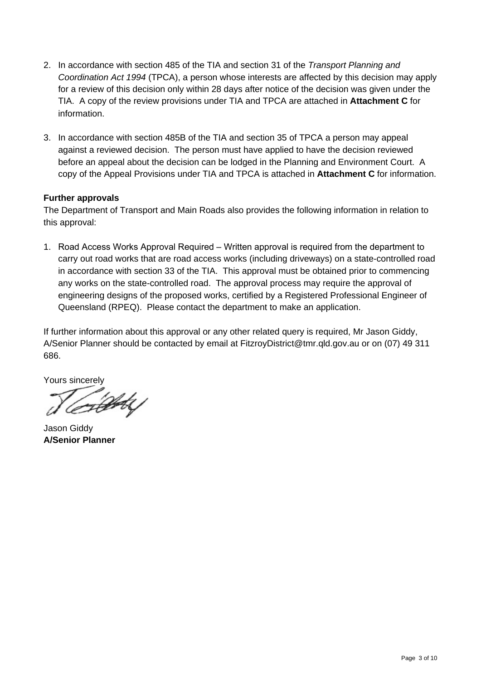- 2. In accordance with section 485 of the TIA and section 31 of the *Transport Planning and Coordination Act 1994* (TPCA), a person whose interests are affected by this decision may apply for a review of this decision only within 28 days after notice of the decision was given under the TIA. A copy of the review provisions under TIA and TPCA are attached in **Attachment C** for information.
- 3. In accordance with section 485B of the TIA and section 35 of TPCA a person may appeal against a reviewed decision. The person must have applied to have the decision reviewed before an appeal about the decision can be lodged in the Planning and Environment Court. A copy of the Appeal Provisions under TIA and TPCA is attached in **Attachment C** for information.

## **Further approvals**

The Department of Transport and Main Roads also provides the following information in relation to this approval:

1. Road Access Works Approval Required – Written approval is required from the department to carry out road works that are road access works (including driveways) on a state-controlled road in accordance with section 33 of the TIA. This approval must be obtained prior to commencing any works on the state-controlled road. The approval process may require the approval of engineering designs of the proposed works, certified by a Registered Professional Engineer of Queensland (RPEQ). Please contact the department to make an application.

If further information about this approval or any other related query is required, Mr Jason Giddy, A/Senior Planner should be contacted by email at FitzroyDistrict@tmr.qld.gov.au or on (07) 49 311 686.

Yours sincerely

Jason Giddy **A/Senior Planner**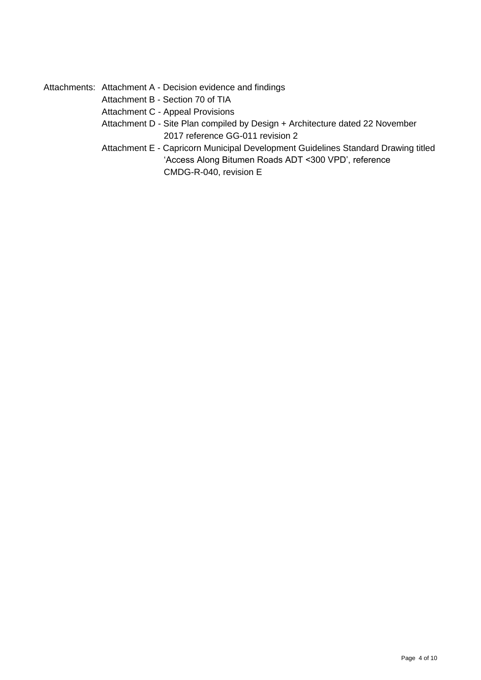Attachments: Attachment A - Decision evidence and findings

Attachment B - Section 70 of TIA

Attachment C - Appeal Provisions

Attachment D - Site Plan compiled by Design + Architecture dated 22 November 2017 reference GG-011 revision 2

Attachment E - Capricorn Municipal Development Guidelines Standard Drawing titled 'Access Along Bitumen Roads ADT <300 VPD', reference CMDG-R-040, revision E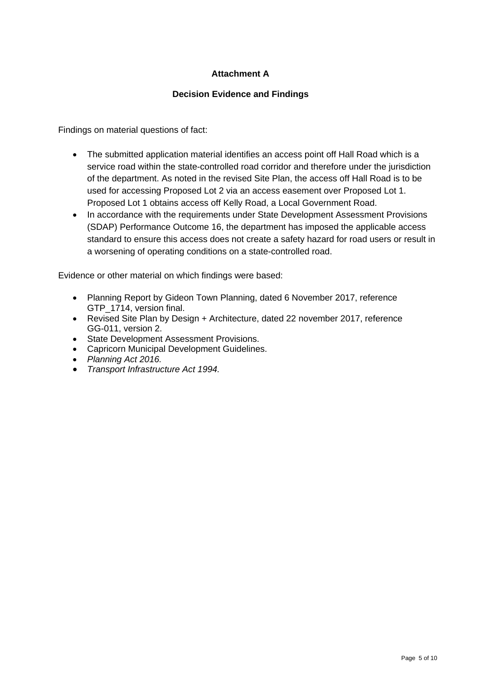# **Attachment A**

# **Decision Evidence and Findings**

Findings on material questions of fact:

- The submitted application material identifies an access point off Hall Road which is a service road within the state-controlled road corridor and therefore under the jurisdiction of the department. As noted in the revised Site Plan, the access off Hall Road isto be used for accessing Proposed Lot 2 via an access easement over Proposed Lot 1. Proposed Lot 1 obtains access off Kelly Road, a Local Government Road.
- In accordance with the requirements under State Development Assessment Provisions (SDAP) Performance Outcome 16, the departmenthas imposed the applicable access standard to ensure this access does not create a safety hazard for road users or result in a worsening of operating conditions on a state-controlled road.

Evidence or other material on which findings were based:

- Planning Report by Gideon Town Planning, dated 6 November 2017, reference GTP 1714, version final.
- Revised Site Plan by Design + Architecture, dated 22 november 2017, reference GG-011, version 2.
- **•** State Development Assessment Provisions.
- Capricorn Municipal Development Guidelines.
- *Planning Act 2016.*
- *Transport Infrastructure Act 1994.*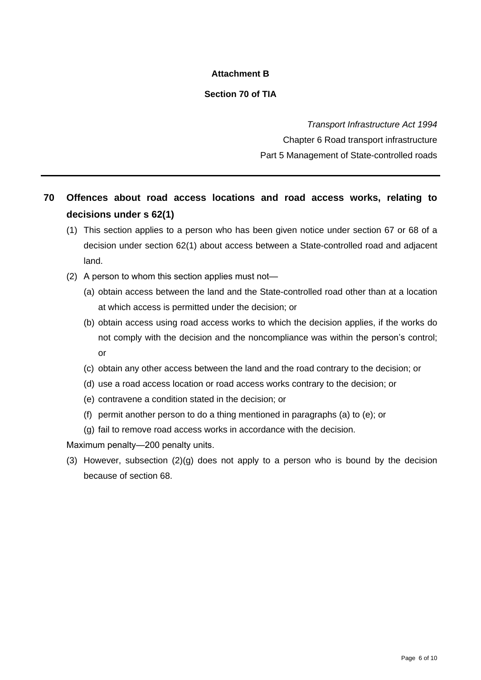# **Attachment B**

# **Section 70 of TIA**

*Transport Infrastructure Act 1994* Chapter 6 Road transport infrastructure Part 5 Management of State-controlled roads

# **70 Offences about road access locations and road access works, relating to decisions under s 62(1)**

- (1) This section applies to a person who has been given notice under section 67 or 68 of a decision under section 62(1) about access between a State-controlled road and adjacent land.
- (2) A person to whom this section applies must not—
	- (a) obtain access between the land and the State-controlled road other than at a location at which access is permitted under the decision; or
	- (b) obtain access using road access works to which the decision applies, if the works do not comply with the decision and the noncompliance was within the person's control; or
	- (c) obtain any other access between the land and the road contrary to the decision; or
	- (d) use a road access location or road access works contrary to the decision; or
	- (e) contravene a condition stated in the decision; or
	- (f) permit another person to do a thing mentioned in paragraphs (a) to (e); or
	- (g) fail to remove road access works in accordance with the decision.

Maximum penalty—200 penalty units.

(3) However, subsection  $(2)(g)$  does not apply to a person who is bound by the decision because of section 68.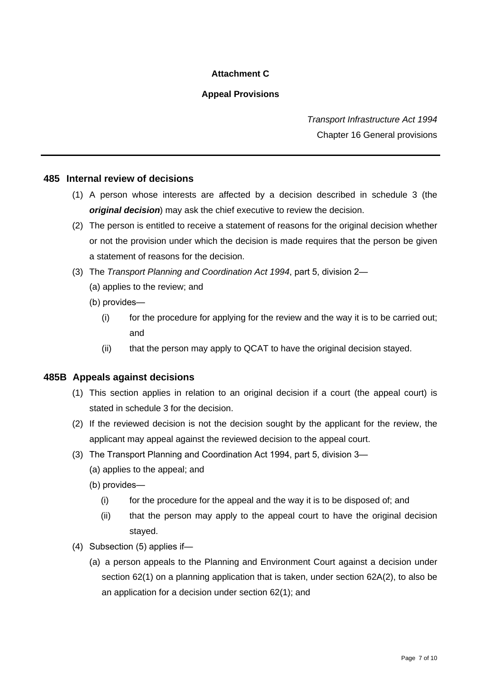# **Attachment C**

# **Appeal Provisions**

*Transport Infrastructure Act 1994* Chapter 16 General provisions

## **485 Internal review of decisions**

- (1) A person whose interests are affected by a decision described in schedule 3 (the *original decision*) may ask the chief executive to review the decision.
- (2) The person is entitled to receive a statement of reasons for the original decision whether or not the provision under which the decision is made requires that the person be given a statement of reasons for the decision.
- (3) The *Transport Planning and Coordination Act 1994*,part5,division2—
	- (a) applies to the review; and
	- $(b)$  provides—
		- (i) for the procedure for applying for the review and the way it is to be carried out; and
		- (ii) that the person may apply to QCAT to have the original decision stayed.

## **485B Appeals against decisions**

- (1) This section applies in relation to an original decision if a court (the appeal court) is stated in schedule 3 for the decision.
- (2) If the reviewed decision is not the decision sought by the applicant for the review, the applicant may appeal against the reviewed decision to the appeal court.
- (3) The Transport Planning and Coordination Act 1994, part 5, division 3—
	- (a) applies to the appeal; and
	- (b) provides—
		- $(i)$  for the procedure for the appeal and the way it is to be disposed of; and
		- (ii) that the person may apply to the appeal court to have the original decision stayed.
- (4) Subsection  $(5)$  applies if-
	- (a) a person appeals to the Planning and Environment Court against a decision under section 62(1) on a planning application that is taken, under section 62A(2), to also be an application for a decision under section 62(1); and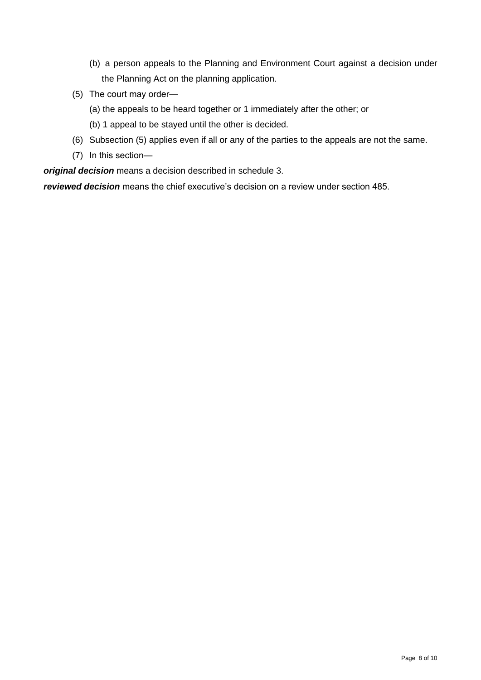- (b) a person appeals to the Planning and Environment Court against a decision under the Planning Act on the planning application.
- (5) The court may order—
	- (a) the appeals to be heard together or 1 immediately after the other; or
	- (b) 1 appeal to be stayed until the other is decided.
- (6) Subsection (5) applies even if all or any of the parties to the appeals are not the same.
- (7) In this section—

*original decision* means a decision described in schedule 3.

*reviewed decision* means the chief executive's decision on a review under section 485.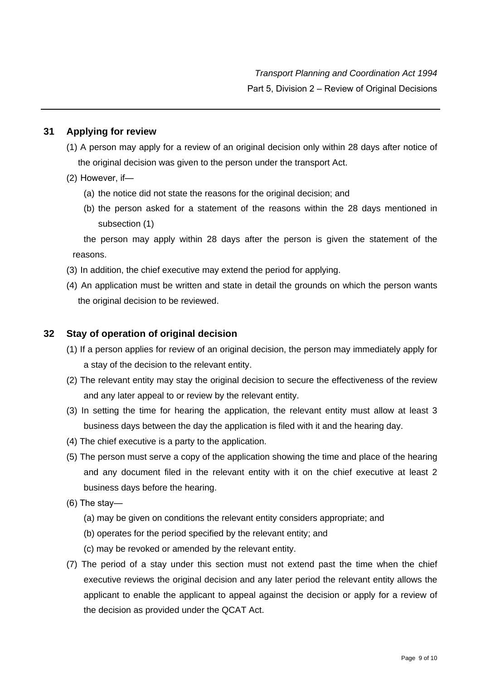# **31 Applying for review**

- (1) A person may apply for a review of an original decision only within 28 days after notice of the original decision was given to the person under the transport Act.
- $(2)$  However, if-
	- (a) the notice did not state the reasons for the original decision; and
	- (b) the person asked for a statement of the reasons within the 28 days mentioned in subsection (1)

the person may apply within 28 days after the person is given the statement of the reasons.

- (3) In addition, the chief executive may extend the period for applying.
- (4) An application must be written and state in detail the grounds on which the person wants the original decision to be reviewed.

## **32 Stay of operation of original decision**

- (1) If a person applies for review of an original decision, the person may immediately apply for a stay of the decision to the relevant entity.
- (2) The relevant entity may stay the original decision to secure the effectiveness of the review and any later appeal to or review by the relevant entity.
- (3) In setting the time for hearing the application, the relevant entity must allow at least 3 business days between the day the application is filed with it and the hearing day.
- 
- (4) The chief executive is a party to the application.<br>(5) The person must serve a copy of the application showing the time and place of the hearing and any document filed in the relevant entity with it on the chief executive at least 2 business days before the hearing.
- $(6)$  The stay—
	- (a) may be given on conditions the relevant entity considers appropriate; and
	- (b) operates for the period specified by the relevant entity; and
	- (c) may be revoked or amended by the relevant entity.
- (7) The period of a stay under this section must not extend past the time when the chief executive reviews the original decision and any later period the relevant entity allows the applicant to enable the applicant to appeal against the decision or apply for a review of the decision as provided under the QCAT Act.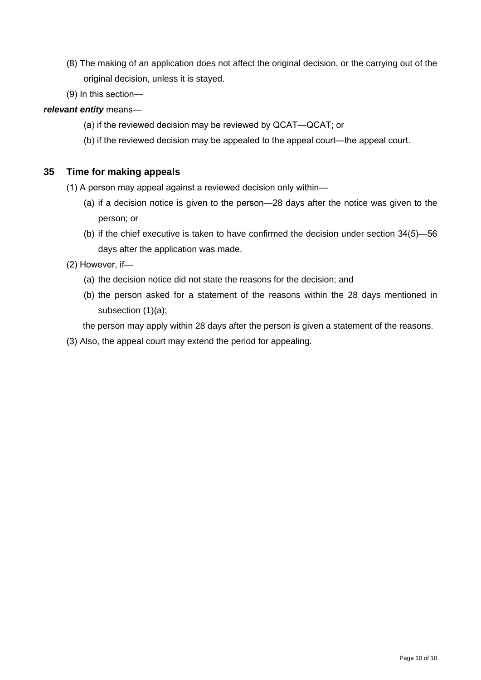- (8) The making of an application does not affect the original decision, or the carrying out of the original decision, unless it is stayed.
- $(9)$  In this section—

*relevant entity* means—

- (a) if the reviewed decision may be reviewed by QCAT—QCAT; or
- (b) if the reviewed decision may be appealed to the appeal court—the appeal court.

# **35 Time for making appeals**

- (1) A person may appeal against a reviewed decision only within—
	- (a) if a decision notice is given to the person—28 days after the notice was given to the person; or
	- (b) if the chief executive is taken to have confirmed the decision under section  $34(5)$ —56 days after the application was made.
- (2) However, if-
	- (a) the decision notice did not state the reasons for the decision; and
	- (b) the person asked for a statement of the reasons within the 28 days mentioned in subsection (1)(a);

the person may apply within 28 days after the person is given a statement of the reasons.

(3) Also, the appeal court may extend the period for appealing.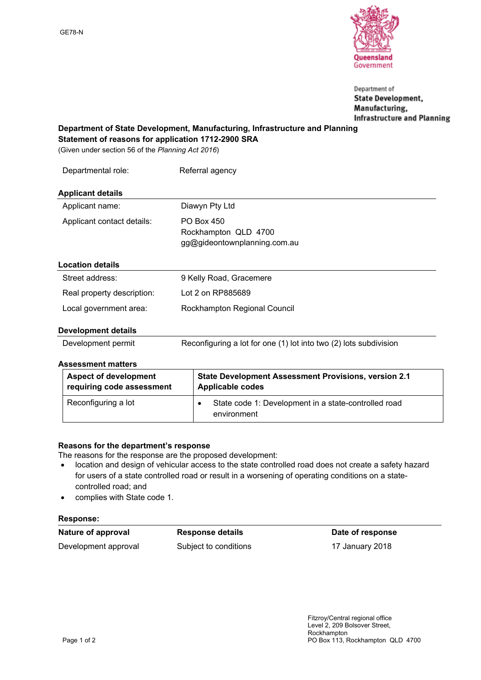

Department of **State Development,** Manufacturing, **Infrastructure and Planning** 

**Department of State Development, Manufacturing, Infrastructure and Planning Statement of reasons for application 1712-2900 SRA**

(Given under section 56 of the *Planning Act 2016*)

| Departmental role:         | Referral agency                                                    |
|----------------------------|--------------------------------------------------------------------|
| <b>Applicant details</b>   |                                                                    |
| Applicant name:            | Diawyn Pty Ltd                                                     |
| Applicant contact details: | PO Box 450<br>Rockhampton QLD 4700<br>gg@gideontownplanning.com.au |
| <b>Location details</b>    |                                                                    |
| Street address:            | 9 Kelly Road, Gracemere                                            |
| Real property description: | Lot 2 on RP885689                                                  |
| Local government area:     | Rockhampton Regional Council                                       |
| - - -                      |                                                                    |

## **Development details**

| Development permit | Reconfiguring a lot for one (1) lot into two (2) lots subdivision |  |
|--------------------|-------------------------------------------------------------------|--|
|--------------------|-------------------------------------------------------------------|--|

## **Assessment matters**

| <b>Aspect of development</b> | State Development Assessment Provisions, version 2.1                |
|------------------------------|---------------------------------------------------------------------|
| requiring code assessment    | Applicable codes                                                    |
| Reconfiguring a lot          | State code 1: Development in a state-controlled road<br>environment |

## **Reasons for the department's response**

The reasons for the response are the proposed development:

- location and design of vehicular access to the state controlled road does not create a safety hazard for users of a state controlled road or result in a worsening of operating conditions on a statecontrolled road; and
- complies with State code 1.

## **Response:**

| Nature of approval   | <b>Response details</b> | Date of response |
|----------------------|-------------------------|------------------|
| Development approval | Subject to conditions   | 17 January 2018  |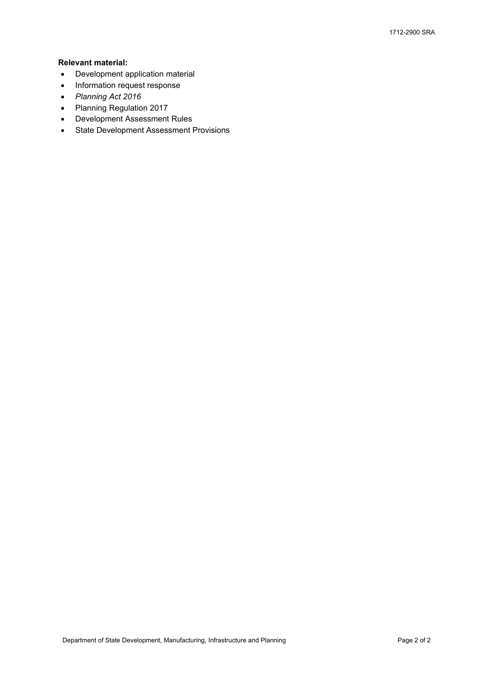## **Relevant material:**

- Development application material
- Information request response
- *Planning Act 2016*
- Planning Regulation 2017
- Development Assessment Rules
- State Development Assessment Provisions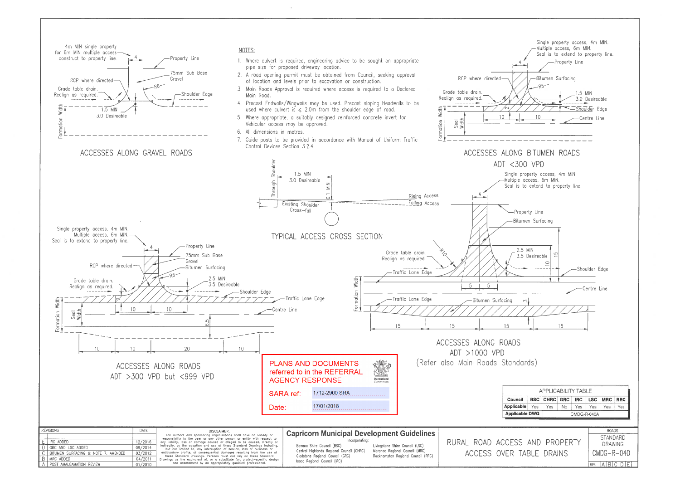